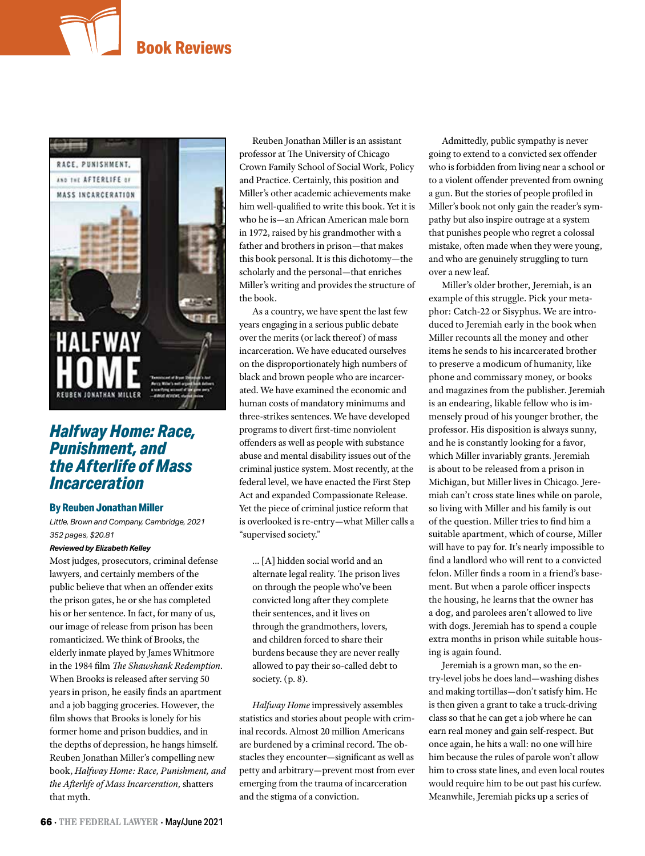# **Book Reviews**



# *Halfway Home: Race, Punishment, and the Afterlife of Mass Incarceration*

## **By Reuben Jonathan Miller**

*Little, Brown and Company, Cambridge, 2021 352 pages, \$20.81*

#### *Reviewed by Elizabeth Kelley*

Most judges, prosecutors, criminal defense lawyers, and certainly members of the public believe that when an offender exits the prison gates, he or she has completed his or her sentence. In fact, for many of us, our image of release from prison has been romanticized. We think of Brooks, the elderly inmate played by James Whitmore in the 1984 film *The Shawshank Redemption*. When Brooks is released after serving 50 years in prison, he easily finds an apartment and a job bagging groceries. However, the film shows that Brooks is lonely for his former home and prison buddies, and in the depths of depression, he hangs himself. Reuben Jonathan Miller's compelling new book, *Halfway Home: Race, Punishment, and the Afterlife of Mass Incarceration,* shatters that myth.

Reuben Jonathan Miller is an assistant professor at The University of Chicago Crown Family School of Social Work, Policy and Practice. Certainly, this position and Miller's other academic achievements make him well-qualified to write this book. Yet it is who he is—an African American male born in 1972, raised by his grandmother with a father and brothers in prison—that makes this book personal. It is this dichotomy—the scholarly and the personal—that enriches Miller's writing and provides the structure of the book.

As a country, we have spent the last few years engaging in a serious public debate over the merits (or lack thereof ) of mass incarceration. We have educated ourselves on the disproportionately high numbers of black and brown people who are incarcerated. We have examined the economic and human costs of mandatory minimums and three-strikes sentences. We have developed programs to divert first-time nonviolent offenders as well as people with substance abuse and mental disability issues out of the criminal justice system. Most recently, at the federal level, we have enacted the First Step Act and expanded Compassionate Release. Yet the piece of criminal justice reform that is overlooked is re-entry—what Miller calls a "supervised society."

… [A] hidden social world and an alternate legal reality. The prison lives on through the people who've been convicted long after they complete their sentences, and it lives on through the grandmothers, lovers, and children forced to share their burdens because they are never really allowed to pay their so-called debt to society. (p. 8).

*Halfway Home* impressively assembles statistics and stories about people with criminal records. Almost 20 million Americans are burdened by a criminal record. The obstacles they encounter—significant as well as petty and arbitrary—prevent most from ever emerging from the trauma of incarceration and the stigma of a conviction.

Admittedly, public sympathy is never going to extend to a convicted sex offender who is forbidden from living near a school or to a violent offender prevented from owning a gun. But the stories of people profiled in Miller's book not only gain the reader's sympathy but also inspire outrage at a system that punishes people who regret a colossal mistake, often made when they were young, and who are genuinely struggling to turn over a new leaf.

Miller's older brother, Jeremiah, is an example of this struggle. Pick your metaphor: Catch-22 or Sisyphus. We are introduced to Jeremiah early in the book when Miller recounts all the money and other items he sends to his incarcerated brother to preserve a modicum of humanity, like phone and commissary money, or books and magazines from the publisher. Jeremiah is an endearing, likable fellow who is immensely proud of his younger brother, the professor. His disposition is always sunny, and he is constantly looking for a favor, which Miller invariably grants. Jeremiah is about to be released from a prison in Michigan, but Miller lives in Chicago. Jeremiah can't cross state lines while on parole, so living with Miller and his family is out of the question. Miller tries to find him a suitable apartment, which of course, Miller will have to pay for. It's nearly impossible to find a landlord who will rent to a convicted felon. Miller finds a room in a friend's basement. But when a parole officer inspects the housing, he learns that the owner has a dog, and parolees aren't allowed to live with dogs. Jeremiah has to spend a couple extra months in prison while suitable housing is again found.

Jeremiah is a grown man, so the entry-level jobs he does land—washing dishes and making tortillas—don't satisfy him. He is then given a grant to take a truck-driving class so that he can get a job where he can earn real money and gain self-respect. But once again, he hits a wall: no one will hire him because the rules of parole won't allow him to cross state lines, and even local routes would require him to be out past his curfew. Meanwhile, Jeremiah picks up a series of